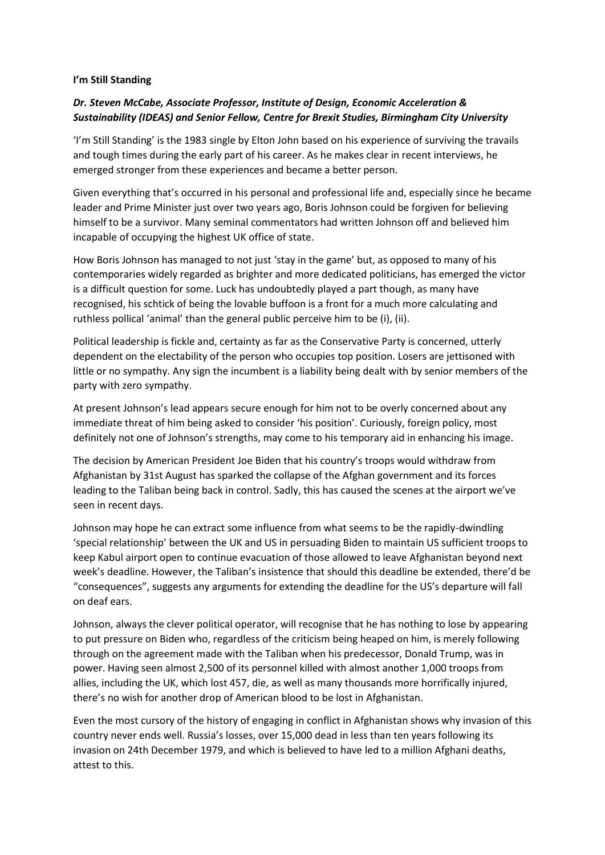## **I'm Still Standing**

## *Dr. Steven McCabe, Associate Professor, Institute of Design, Economic Acceleration & Sustainability (IDEAS) and Senior Fellow, Centre for Brexit Studies, Birmingham City University*

'I'm Still Standing' is the 1983 single by Elton John based on his experience of surviving the travails and tough times during the early part of his career. As he makes clear in recent interviews, he emerged stronger from these experiences and became a better person.

Given everything that's occurred in his personal and professional life and, especially since he became leader and Prime Minister just over two years ago, Boris Johnson could be forgiven for believing himself to be a survivor. Many seminal commentators had written Johnson off and believed him incapable of occupying the highest UK office of state.

How Boris Johnson has managed to not just 'stay in the game' but, as opposed to many of his contemporaries widely regarded as brighter and more dedicated politicians, has emerged the victor is a difficult question for some. Luck has undoubtedly played a part though, as many have recognised, his schtick of being the lovable buffoon is a front for a much more calculating and ruthless pollical 'animal' than the general public perceive him to be (i), (ii).

Political leadership is fickle and, certainty as far as the Conservative Party is concerned, utterly dependent on the electability of the person who occupies top position. Losers are jettisoned with little or no sympathy. Any sign the incumbent is a liability being dealt with by senior members of the party with zero sympathy.

At present Johnson's lead appears secure enough for him not to be overly concerned about any immediate threat of him being asked to consider 'his position'. Curiously, foreign policy, most definitely not one of Johnson's strengths, may come to his temporary aid in enhancing his image.

The decision by American President Joe Biden that his country's troops would withdraw from Afghanistan by 31st August has sparked the collapse of the Afghan government and its forces leading to the Taliban being back in control. Sadly, this has caused the scenes at the airport we've seen in recent days.

Johnson may hope he can extract some influence from what seems to be the rapidly-dwindling 'special relationship' between the UK and US in persuading Biden to maintain US sufficient troops to keep Kabul airport open to continue evacuation of those allowed to leave Afghanistan beyond next week's deadline. However, the Taliban's insistence that should this deadline be extended, there'd be "consequences", suggests any arguments for extending the deadline for the US's departure will fall on deaf ears.

Johnson, always the clever political operator, will recognise that he has nothing to lose by appearing to put pressure on Biden who, regardless of the criticism being heaped on him, is merely following through on the agreement made with the Taliban when his predecessor, Donald Trump, was in power. Having seen almost 2,500 of its personnel killed with almost another 1,000 troops from allies, including the UK, which lost 457, die, as well as many thousands more horrifically injured, there's no wish for another drop of American blood to be lost in Afghanistan.

Even the most cursory of the history of engaging in conflict in Afghanistan shows why invasion of this country never ends well. Russia's losses, over 15,000 dead in less than ten years following its invasion on 24th December 1979, and which is believed to have led to a million Afghani deaths, attest to this.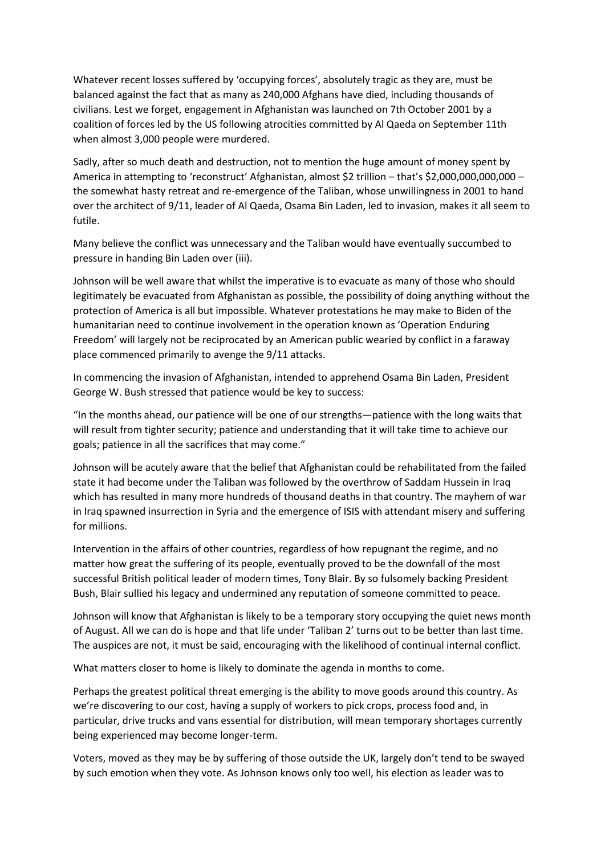Whatever recent losses suffered by 'occupying forces', absolutely tragic as they are, must be balanced against the fact that as many as 240,000 Afghans have died, including thousands of civilians. Lest we forget, engagement in Afghanistan was launched on 7th October 2001 by a coalition of forces led by the US following atrocities committed by Al Qaeda on September 11th when almost 3,000 people were murdered.

Sadly, after so much death and destruction, not to mention the huge amount of money spent by America in attempting to 'reconstruct' Afghanistan, almost \$2 trillion – that's \$2,000,000,000,000 – the somewhat hasty retreat and re-emergence of the Taliban, whose unwillingness in 2001 to hand over the architect of 9/11, leader of Al Qaeda, Osama Bin Laden, led to invasion, makes it all seem to futile.

Many believe the conflict was unnecessary and the Taliban would have eventually succumbed to pressure in handing Bin Laden over (iii).

Johnson will be well aware that whilst the imperative is to evacuate as many of those who should legitimately be evacuated from Afghanistan as possible, the possibility of doing anything without the protection of America is all but impossible. Whatever protestations he may make to Biden of the humanitarian need to continue involvement in the operation known as 'Operation Enduring Freedom' will largely not be reciprocated by an American public wearied by conflict in a faraway place commenced primarily to avenge the 9/11 attacks.

In commencing the invasion of Afghanistan, intended to apprehend Osama Bin Laden, President George W. Bush stressed that patience would be key to success:

"In the months ahead, our patience will be one of our strengths—patience with the long waits that will result from tighter security; patience and understanding that it will take time to achieve our goals; patience in all the sacrifices that may come."

Johnson will be acutely aware that the belief that Afghanistan could be rehabilitated from the failed state it had become under the Taliban was followed by the overthrow of Saddam Hussein in Iraq which has resulted in many more hundreds of thousand deaths in that country. The mayhem of war in Iraq spawned insurrection in Syria and the emergence of ISIS with attendant misery and suffering for millions.

Intervention in the affairs of other countries, regardless of how repugnant the regime, and no matter how great the suffering of its people, eventually proved to be the downfall of the most successful British political leader of modern times, Tony Blair. By so fulsomely backing President Bush, Blair sullied his legacy and undermined any reputation of someone committed to peace.

Johnson will know that Afghanistan is likely to be a temporary story occupying the quiet news month of August. All we can do is hope and that life under 'Taliban 2' turns out to be better than last time. The auspices are not, it must be said, encouraging with the likelihood of continual internal conflict.

What matters closer to home is likely to dominate the agenda in months to come.

Perhaps the greatest political threat emerging is the ability to move goods around this country. As we're discovering to our cost, having a supply of workers to pick crops, process food and, in particular, drive trucks and vans essential for distribution, will mean temporary shortages currently being experienced may become longer-term.

Voters, moved as they may be by suffering of those outside the UK, largely don't tend to be swayed by such emotion when they vote. As Johnson knows only too well, his election as leader was to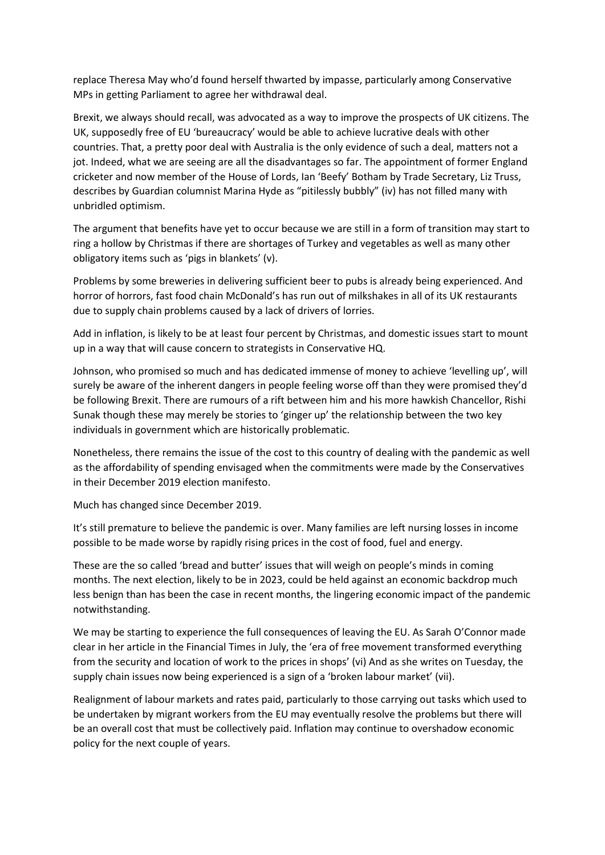replace Theresa May who'd found herself thwarted by impasse, particularly among Conservative MPs in getting Parliament to agree her withdrawal deal.

Brexit, we always should recall, was advocated as a way to improve the prospects of UK citizens. The UK, supposedly free of EU 'bureaucracy' would be able to achieve lucrative deals with other countries. That, a pretty poor deal with Australia is the only evidence of such a deal, matters not a jot. Indeed, what we are seeing are all the disadvantages so far. The appointment of former England cricketer and now member of the House of Lords, Ian 'Beefy' Botham by Trade Secretary, Liz Truss, describes by Guardian columnist Marina Hyde as "pitilessly bubbly" (iv) has not filled many with unbridled optimism.

The argument that benefits have yet to occur because we are still in a form of transition may start to ring a hollow by Christmas if there are shortages of Turkey and vegetables as well as many other obligatory items such as 'pigs in blankets' (v).

Problems by some breweries in delivering sufficient beer to pubs is already being experienced. And horror of horrors, fast food chain McDonald's has run out of milkshakes in all of its UK restaurants due to supply chain problems caused by a lack of drivers of lorries.

Add in inflation, is likely to be at least four percent by Christmas, and domestic issues start to mount up in a way that will cause concern to strategists in Conservative HQ.

Johnson, who promised so much and has dedicated immense of money to achieve 'levelling up', will surely be aware of the inherent dangers in people feeling worse off than they were promised they'd be following Brexit. There are rumours of a rift between him and his more hawkish Chancellor, Rishi Sunak though these may merely be stories to 'ginger up' the relationship between the two key individuals in government which are historically problematic.

Nonetheless, there remains the issue of the cost to this country of dealing with the pandemic as well as the affordability of spending envisaged when the commitments were made by the Conservatives in their December 2019 election manifesto.

Much has changed since December 2019.

It's still premature to believe the pandemic is over. Many families are left nursing losses in income possible to be made worse by rapidly rising prices in the cost of food, fuel and energy.

These are the so called 'bread and butter' issues that will weigh on people's minds in coming months. The next election, likely to be in 2023, could be held against an economic backdrop much less benign than has been the case in recent months, the lingering economic impact of the pandemic notwithstanding.

We may be starting to experience the full consequences of leaving the EU. As Sarah O'Connor made clear in her article in the Financial Times in July, the 'era of free movement transformed everything from the security and location of work to the prices in shops' (vi) And as she writes on Tuesday, the supply chain issues now being experienced is a sign of a 'broken labour market' (vii).

Realignment of labour markets and rates paid, particularly to those carrying out tasks which used to be undertaken by migrant workers from the EU may eventually resolve the problems but there will be an overall cost that must be collectively paid. Inflation may continue to overshadow economic policy for the next couple of years.